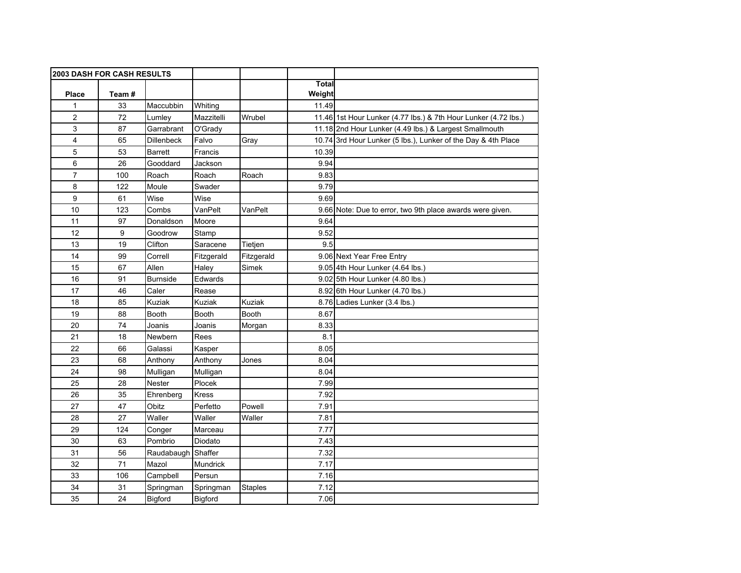| <b>2003 DASH FOR CASH RESULTS</b> |       |                    |                |                |              |                                                                 |
|-----------------------------------|-------|--------------------|----------------|----------------|--------------|-----------------------------------------------------------------|
|                                   |       |                    |                |                | <b>Total</b> |                                                                 |
| <b>Place</b>                      | Team# |                    |                |                | Weight       |                                                                 |
| 1                                 | 33    | Maccubbin          | Whiting        |                | 11.49        |                                                                 |
| $\overline{2}$                    | 72    | Lumley             | Mazzitelli     | Wrubel         |              | 11.46 1st Hour Lunker (4.77 lbs.) & 7th Hour Lunker (4.72 lbs.) |
| 3                                 | 87    | Garrabrant         | O'Grady        |                |              | 11.18 2nd Hour Lunker (4.49 lbs.) & Largest Smallmouth          |
| 4                                 | 65    | <b>Dillenbeck</b>  | Falvo          | Gray           | 10.74        | 3rd Hour Lunker (5 lbs.), Lunker of the Day & 4th Place         |
| 5                                 | 53    | <b>Barrett</b>     | Francis        |                | 10.39        |                                                                 |
| 6                                 | 26    | Gooddard           | Jackson        |                | 9.94         |                                                                 |
| 7                                 | 100   | Roach              | Roach          | Roach          | 9.83         |                                                                 |
| 8                                 | 122   | Moule              | Swader         |                | 9.79         |                                                                 |
| 9                                 | 61    | Wise               | Wise           |                | 9.69         |                                                                 |
| 10                                | 123   | Combs              | VanPelt        | VanPelt        |              | 9.66 Note: Due to error, two 9th place awards were given.       |
| 11                                | 97    | Donaldson          | Moore          |                | 9.64         |                                                                 |
| 12                                | 9     | Goodrow            | Stamp          |                | 9.52         |                                                                 |
| 13                                | 19    | Clifton            | Saracene       | Tietjen        | 9.5          |                                                                 |
| 14                                | 99    | Correll            | Fitzgerald     | Fitzgerald     |              | 9.06 Next Year Free Entry                                       |
| 15                                | 67    | Allen              | Haley          | Simek          |              | 9.05 4th Hour Lunker (4.64 lbs.)                                |
| 16                                | 91    | <b>Burnside</b>    | Edwards        |                |              | 9.02 5th Hour Lunker (4.80 lbs.)                                |
| 17                                | 46    | Caler              | Rease          |                |              | 8.92 6th Hour Lunker (4.70 lbs.)                                |
| 18                                | 85    | Kuziak             | Kuziak         | <b>Kuziak</b>  |              | 8.76 Ladies Lunker (3.4 lbs.)                                   |
| 19                                | 88    | Booth              | <b>Booth</b>   | <b>Booth</b>   | 8.67         |                                                                 |
| 20                                | 74    | Joanis             | Joanis         | Morgan         | 8.33         |                                                                 |
| 21                                | 18    | Newbern            | Rees           |                | 8.1          |                                                                 |
| 22                                | 66    | Galassi            | Kasper         |                | 8.05         |                                                                 |
| 23                                | 68    | Anthony            | Anthony        | Jones          | 8.04         |                                                                 |
| 24                                | 98    | Mulligan           | Mulligan       |                | 8.04         |                                                                 |
| 25                                | 28    | Nester             | Plocek         |                | 7.99         |                                                                 |
| 26                                | 35    | Ehrenberg          | <b>Kress</b>   |                | 7.92         |                                                                 |
| 27                                | 47    | Obitz              | Perfetto       | Powell         | 7.91         |                                                                 |
| 28                                | 27    | Waller             | Waller         | Waller         | 7.81         |                                                                 |
| 29                                | 124   | Conger             | Marceau        |                | 7.77         |                                                                 |
| 30                                | 63    | Pombrio            | Diodato        |                | 7.43         |                                                                 |
| 31                                | 56    | Raudabaugh Shaffer |                |                | 7.32         |                                                                 |
| 32                                | 71    | Mazol              | Mundrick       |                | 7.17         |                                                                 |
| 33                                | 106   | Campbell           | Persun         |                | 7.16         |                                                                 |
| 34                                | 31    | Springman          | Springman      | <b>Staples</b> | 7.12         |                                                                 |
| 35                                | 24    | Bigford            | <b>Bigford</b> |                | 7.06         |                                                                 |
|                                   |       |                    |                |                |              |                                                                 |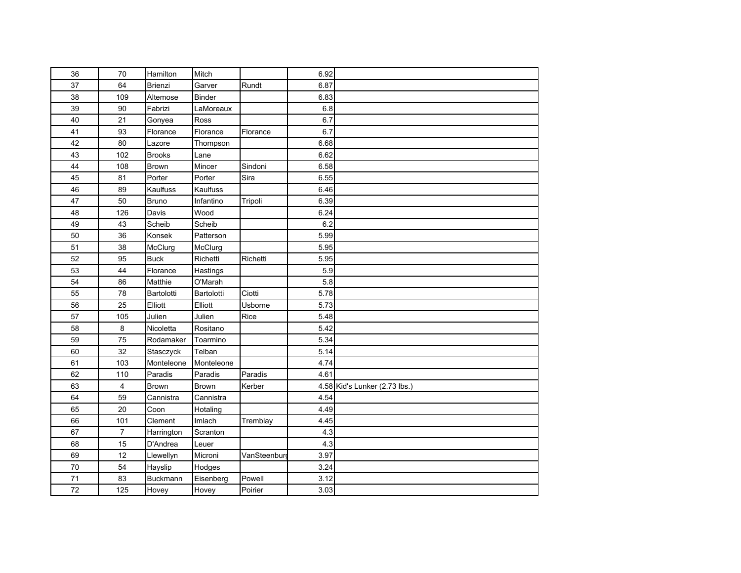| 36 | 70             | Hamilton       | Mitch        |             | 6.92 |                               |
|----|----------------|----------------|--------------|-------------|------|-------------------------------|
| 37 | 64             | <b>Brienzi</b> | Garver       | Rundt       | 6.87 |                               |
| 38 | 109            | Altemose       | Binder       |             | 6.83 |                               |
| 39 | 90             | Fabrizi        | LaMoreaux    |             | 6.8  |                               |
| 40 | 21             | Gonyea         | Ross         |             | 6.7  |                               |
| 41 | 93             | Florance       | Florance     | Florance    | 6.7  |                               |
| 42 | 80             | Lazore         | Thompson     |             | 6.68 |                               |
| 43 | 102            | <b>Brooks</b>  | Lane         |             | 6.62 |                               |
| 44 | 108            | Brown          | Mincer       | Sindoni     | 6.58 |                               |
| 45 | 81             | Porter         | Porter       | Sira        | 6.55 |                               |
| 46 | 89             | Kaulfuss       | Kaulfuss     |             | 6.46 |                               |
| 47 | 50             | Bruno          | Infantino    | Tripoli     | 6.39 |                               |
| 48 | 126            | Davis          | Wood         |             | 6.24 |                               |
| 49 | 43             | Scheib         | Scheib       |             | 6.2  |                               |
| 50 | 36             | Konsek         | Patterson    |             | 5.99 |                               |
| 51 | 38             | McClurg        | McClurg      |             | 5.95 |                               |
| 52 | 95             | <b>Buck</b>    | Richetti     | Richetti    | 5.95 |                               |
| 53 | 44             | Florance       | Hastings     |             | 5.9  |                               |
| 54 | 86             | Matthie        | O'Marah      |             | 5.8  |                               |
| 55 | 78             | Bartolotti     | Bartolotti   | Ciotti      | 5.78 |                               |
| 56 | 25             | Elliott        | Elliott      | Usborne     | 5.73 |                               |
| 57 | 105            | Julien         | Julien       | Rice        | 5.48 |                               |
| 58 | 8              | Nicoletta      | Rositano     |             | 5.42 |                               |
| 59 | 75             | Rodamaker      | Toarmino     |             | 5.34 |                               |
| 60 | 32             | Stasczyck      | Telban       |             | 5.14 |                               |
| 61 | 103            | Monteleone     | Monteleone   |             | 4.74 |                               |
| 62 | 110            | Paradis        | Paradis      | Paradis     | 4.61 |                               |
| 63 | 4              | Brown          | <b>Brown</b> | Kerber      |      | 4.58 Kid's Lunker (2.73 lbs.) |
| 64 | 59             | Cannistra      | Cannistra    |             | 4.54 |                               |
| 65 | 20             | Coon           | Hotaling     |             | 4.49 |                               |
| 66 | 101            | Clement        | Imlach       | Tremblay    | 4.45 |                               |
| 67 | $\overline{7}$ | Harrington     | Scranton     |             | 4.3  |                               |
| 68 | 15             | D'Andrea       | Leuer        |             | 4.3  |                               |
| 69 | 12             | Llewellyn      | Microni      | VanSteenbur | 3.97 |                               |
| 70 | 54             | Hayslip        | Hodges       |             | 3.24 |                               |
| 71 | 83             | Buckmann       | Eisenberg    | Powell      | 3.12 |                               |
| 72 | 125            | Hovey          | Hovey        | Poirier     | 3.03 |                               |
|    |                |                |              |             |      |                               |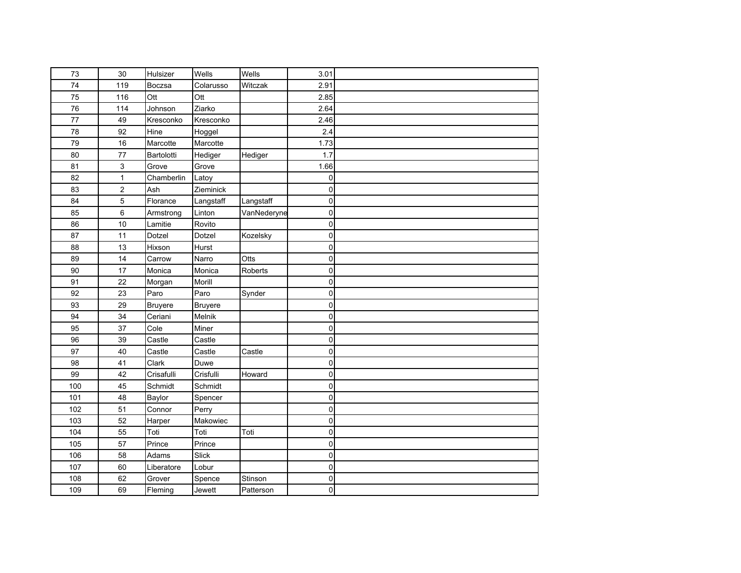| 73  | 30             | Hulsizer       | Wells          | Wells       | 3.01        |  |
|-----|----------------|----------------|----------------|-------------|-------------|--|
| 74  | 119            | Boczsa         | Colarusso      | Witczak     | 2.91        |  |
| 75  | 116            | Ott            | Ott            |             | 2.85        |  |
| 76  | 114            | Johnson        | Ziarko         |             | 2.64        |  |
| 77  | 49             | Kresconko      | Kresconko      |             | 2.46        |  |
| 78  | 92             | Hine           | Hoggel         |             | 2.4         |  |
| 79  | 16             | Marcotte       | Marcotte       |             | 1.73        |  |
| 80  | 77             | Bartolotti     | Hediger        | Hediger     | 1.7         |  |
| 81  | 3              | Grove          | Grove          |             | 1.66        |  |
| 82  | $\mathbf{1}$   | Chamberlin     | Latoy          |             | 0           |  |
| 83  | $\overline{2}$ | Ash            | Zieminick      |             | 0           |  |
| 84  | 5              | Florance       | Langstaff      | Langstaff   | $\pmb{0}$   |  |
| 85  | 6              | Armstrong      | Linton         | VanNederyne | $\pmb{0}$   |  |
| 86  | 10             | Lamitie        | Rovito         |             | 0           |  |
| 87  | 11             | Dotzel         | Dotzel         | Kozelsky    | 0           |  |
| 88  | 13             | Hixson         | Hurst          |             | $\mathsf 0$ |  |
| 89  | 14             | Carrow         | Narro          | Otts        | $\mathbf 0$ |  |
| 90  | 17             | Monica         | Monica         | Roberts     | $\mathbf 0$ |  |
| 91  | 22             | Morgan         | Morill         |             | $\mathbf 0$ |  |
| 92  | 23             | Paro           | Paro           | Synder      | 0           |  |
| 93  | 29             | <b>Bruyere</b> | <b>Bruyere</b> |             | $\mathbf 0$ |  |
| 94  | 34             | Ceriani        | Melnik         |             | $\pmb{0}$   |  |
| 95  | 37             | Cole           | Miner          |             | $\pmb{0}$   |  |
| 96  | 39             | Castle         | Castle         |             | $\mathbf 0$ |  |
| 97  | 40             | Castle         | Castle         | Castle      | 0           |  |
| 98  | 41             | Clark          | Duwe           |             | $\pmb{0}$   |  |
| 99  | 42             | Crisafulli     | Crisfulli      | Howard      | 0           |  |
| 100 | 45             | Schmidt        | Schmidt        |             | 0           |  |
| 101 | 48             | Baylor         | Spencer        |             | 0           |  |
| 102 | 51             | Connor         | Perry          |             | 0           |  |
| 103 | 52             | Harper         | Makowiec       |             | 0           |  |
| 104 | 55             | Toti           | Toti           | Toti        | 0           |  |
| 105 | 57             | Prince         | Prince         |             | 0           |  |
| 106 | 58             | Adams          | Slick          |             | 0           |  |
| 107 | 60             | Liberatore     | Lobur          |             | 0           |  |
| 108 | 62             | Grover         | Spence         | Stinson     | 0           |  |
| 109 | 69             | Fleming        | Jewett         | Patterson   | 0           |  |